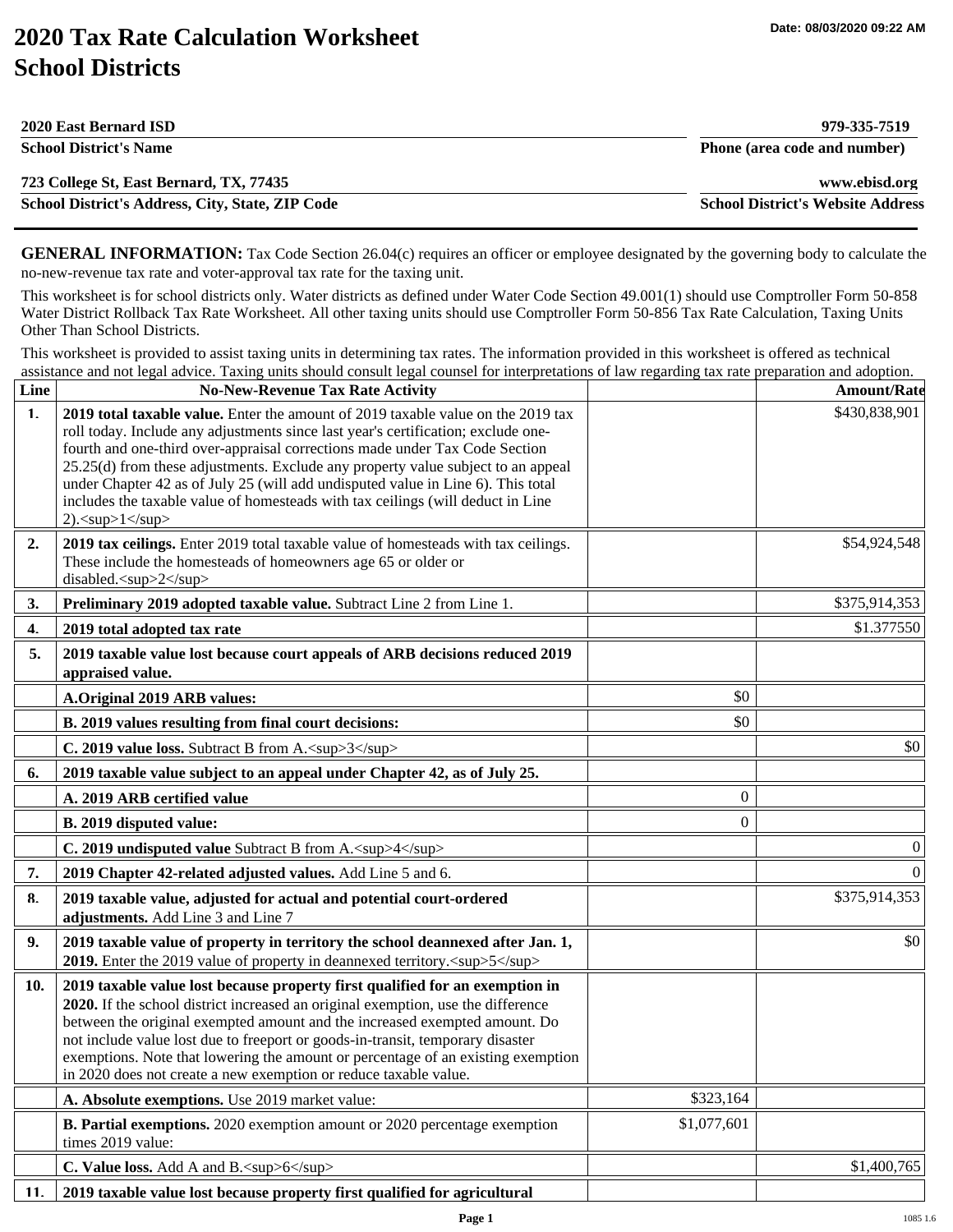## **2020 Tax Rate Calculation Worksheet School Districts**

| 2020 East Bernard ISD                            | 979-335-7519                             |
|--------------------------------------------------|------------------------------------------|
| <b>School District's Name</b>                    | Phone (area code and number)             |
| 723 College St, East Bernard, TX, 77435          | www.ebisd.org                            |
| School District's Address, City, State, ZIP Code | <b>School District's Website Address</b> |

**GENERAL INFORMATION:** Tax Code Section 26.04(c) requires an officer or employee designated by the governing body to calculate the no-new-revenue tax rate and voter-approval tax rate for the taxing unit.

This worksheet is for school districts only. Water districts as defined under Water Code Section 49.001(1) should use Comptroller Form 50-858 Water District Rollback Tax Rate Worksheet. All other taxing units should use Comptroller Form 50-856 Tax Rate Calculation, Taxing Units Other Than School Districts.

This worksheet is provided to assist taxing units in determining tax rates. The information provided in this worksheet is offered as technical assistance and not legal advice. Taxing units should consult legal counsel for interpretations of law regarding tax rate preparation and adoption.

| Line           | <b>No-New-Revenue Tax Rate Activity</b>                                                                                                                                                                                                                                                                                                                                                                                                                                                                                              |                | <b>Amount/Rate</b> |
|----------------|--------------------------------------------------------------------------------------------------------------------------------------------------------------------------------------------------------------------------------------------------------------------------------------------------------------------------------------------------------------------------------------------------------------------------------------------------------------------------------------------------------------------------------------|----------------|--------------------|
| 1 <sub>1</sub> | 2019 total taxable value. Enter the amount of 2019 taxable value on the 2019 tax<br>roll today. Include any adjustments since last year's certification; exclude one-<br>fourth and one-third over-appraisal corrections made under Tax Code Section<br>25.25(d) from these adjustments. Exclude any property value subject to an appeal<br>under Chapter 42 as of July 25 (will add undisputed value in Line 6). This total<br>includes the taxable value of homesteads with tax ceilings (will deduct in Line<br>2). $2exp>12sup>$ |                | \$430,838,901      |
| 2.             | 2019 tax ceilings. Enter 2019 total taxable value of homesteads with tax ceilings.<br>These include the homesteads of homeowners age 65 or older or<br>disabled. <sup>2</sup>                                                                                                                                                                                                                                                                                                                                                        |                | \$54,924,548       |
| 3.             | Preliminary 2019 adopted taxable value. Subtract Line 2 from Line 1.                                                                                                                                                                                                                                                                                                                                                                                                                                                                 |                | \$375,914,353      |
| 4.             | 2019 total adopted tax rate                                                                                                                                                                                                                                                                                                                                                                                                                                                                                                          |                | \$1.377550         |
| 5.             | 2019 taxable value lost because court appeals of ARB decisions reduced 2019<br>appraised value.                                                                                                                                                                                                                                                                                                                                                                                                                                      |                |                    |
|                | A.Original 2019 ARB values:                                                                                                                                                                                                                                                                                                                                                                                                                                                                                                          | \$0            |                    |
|                | B. 2019 values resulting from final court decisions:                                                                                                                                                                                                                                                                                                                                                                                                                                                                                 | \$0            |                    |
|                | C. 2019 value loss. Subtract B from A. <sup>3</sup>                                                                                                                                                                                                                                                                                                                                                                                                                                                                                  |                | \$0                |
| 6.             | 2019 taxable value subject to an appeal under Chapter 42, as of July 25.                                                                                                                                                                                                                                                                                                                                                                                                                                                             |                |                    |
|                | A. 2019 ARB certified value                                                                                                                                                                                                                                                                                                                                                                                                                                                                                                          | $\theta$       |                    |
|                | B. 2019 disputed value:                                                                                                                                                                                                                                                                                                                                                                                                                                                                                                              | $\overline{0}$ |                    |
|                | C. 2019 undisputed value Subtract B from A. <sup>4</sup>                                                                                                                                                                                                                                                                                                                                                                                                                                                                             |                | $\theta$           |
| 7.             | 2019 Chapter 42-related adjusted values. Add Line 5 and 6.                                                                                                                                                                                                                                                                                                                                                                                                                                                                           |                | $\Omega$           |
| 8.             | 2019 taxable value, adjusted for actual and potential court-ordered<br>adjustments. Add Line 3 and Line 7                                                                                                                                                                                                                                                                                                                                                                                                                            |                | \$375,914,353      |
| 9.             | 2019 taxable value of property in territory the school deannexed after Jan. 1,<br>2019. Enter the 2019 value of property in deannexed territory. <sup>5</sup>                                                                                                                                                                                                                                                                                                                                                                        |                | \$0                |
| 10.            | 2019 taxable value lost because property first qualified for an exemption in<br>2020. If the school district increased an original exemption, use the difference<br>between the original exempted amount and the increased exempted amount. Do<br>not include value lost due to freeport or goods-in-transit, temporary disaster<br>exemptions. Note that lowering the amount or percentage of an existing exemption<br>in 2020 does not create a new exemption or reduce taxable value.                                             |                |                    |
|                | A. Absolute exemptions. Use 2019 market value:                                                                                                                                                                                                                                                                                                                                                                                                                                                                                       | \$323,164      |                    |
|                | <b>B. Partial exemptions.</b> 2020 exemption amount or 2020 percentage exemption<br>times 2019 value:                                                                                                                                                                                                                                                                                                                                                                                                                                | \$1,077,601    |                    |
|                | C. Value loss. Add A and B. <sup>6</sup>                                                                                                                                                                                                                                                                                                                                                                                                                                                                                             |                | \$1,400,765        |
| 11.            | 2019 taxable value lost because property first qualified for agricultural                                                                                                                                                                                                                                                                                                                                                                                                                                                            |                |                    |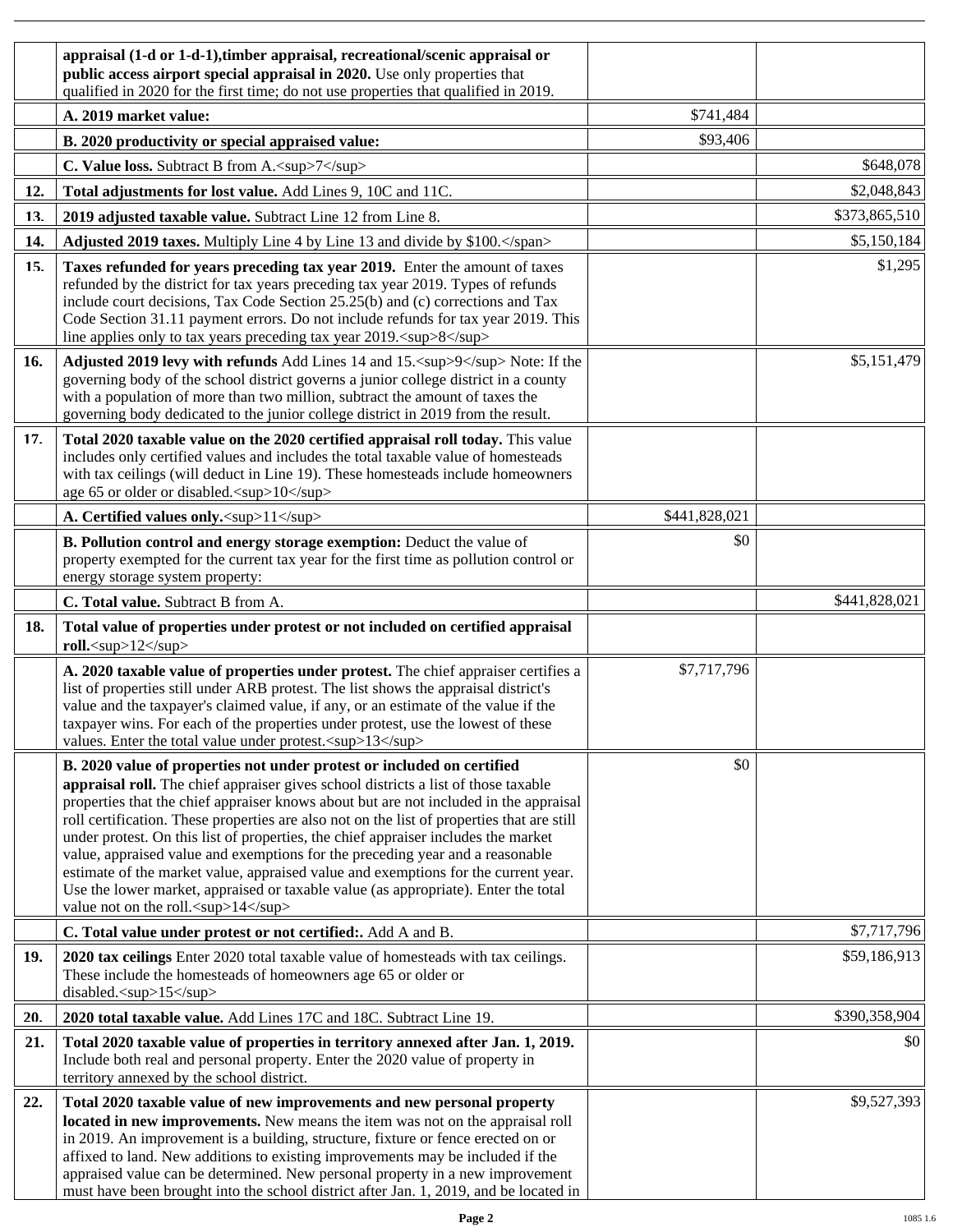|     | appraisal (1-d or 1-d-1), timber appraisal, recreational/scenic appraisal or<br>public access airport special appraisal in 2020. Use only properties that<br>qualified in 2020 for the first time; do not use properties that qualified in 2019.                                                                                                                                                                                                                                                                                                                                                                                                                                                                                               |               |               |
|-----|------------------------------------------------------------------------------------------------------------------------------------------------------------------------------------------------------------------------------------------------------------------------------------------------------------------------------------------------------------------------------------------------------------------------------------------------------------------------------------------------------------------------------------------------------------------------------------------------------------------------------------------------------------------------------------------------------------------------------------------------|---------------|---------------|
|     | A. 2019 market value:                                                                                                                                                                                                                                                                                                                                                                                                                                                                                                                                                                                                                                                                                                                          | \$741,484     |               |
|     | B. 2020 productivity or special appraised value:                                                                                                                                                                                                                                                                                                                                                                                                                                                                                                                                                                                                                                                                                               | \$93,406      |               |
|     | C. Value loss. Subtract B from A. <sup>7</sup>                                                                                                                                                                                                                                                                                                                                                                                                                                                                                                                                                                                                                                                                                                 |               | \$648,078     |
| 12. | Total adjustments for lost value. Add Lines 9, 10C and 11C.                                                                                                                                                                                                                                                                                                                                                                                                                                                                                                                                                                                                                                                                                    |               | \$2,048,843   |
| 13. | 2019 adjusted taxable value. Subtract Line 12 from Line 8.                                                                                                                                                                                                                                                                                                                                                                                                                                                                                                                                                                                                                                                                                     |               | \$373,865,510 |
| 14. | Adjusted 2019 taxes. Multiply Line 4 by Line 13 and divide by \$100.                                                                                                                                                                                                                                                                                                                                                                                                                                                                                                                                                                                                                                                                           |               | \$5,150,184   |
| 15. | Taxes refunded for years preceding tax year 2019. Enter the amount of taxes<br>refunded by the district for tax years preceding tax year 2019. Types of refunds<br>include court decisions, Tax Code Section 25.25(b) and (c) corrections and Tax<br>Code Section 31.11 payment errors. Do not include refunds for tax year 2019. This<br>line applies only to tax years preceding tax year 2019. <sup>8</sup>                                                                                                                                                                                                                                                                                                                                 |               | \$1,295       |
| 16. | Adjusted 2019 levy with refunds Add Lines 14 and 15. <sup>9</sup> Note: If the<br>governing body of the school district governs a junior college district in a county<br>with a population of more than two million, subtract the amount of taxes the<br>governing body dedicated to the junior college district in 2019 from the result.                                                                                                                                                                                                                                                                                                                                                                                                      |               | \$5,151,479   |
| 17. | Total 2020 taxable value on the 2020 certified appraisal roll today. This value<br>includes only certified values and includes the total taxable value of homesteads<br>with tax ceilings (will deduct in Line 19). These homesteads include homeowners<br>age 65 or older or disabled. <sup>10</sup>                                                                                                                                                                                                                                                                                                                                                                                                                                          |               |               |
|     | A. Certified values only. <sup>11</sup>                                                                                                                                                                                                                                                                                                                                                                                                                                                                                                                                                                                                                                                                                                        | \$441,828,021 |               |
|     | B. Pollution control and energy storage exemption: Deduct the value of<br>property exempted for the current tax year for the first time as pollution control or<br>energy storage system property:                                                                                                                                                                                                                                                                                                                                                                                                                                                                                                                                             | \$0           |               |
|     | C. Total value. Subtract B from A.                                                                                                                                                                                                                                                                                                                                                                                                                                                                                                                                                                                                                                                                                                             |               | \$441,828,021 |
| 18. | Total value of properties under protest or not included on certified appraisal<br>roll. <sup>12</sup>                                                                                                                                                                                                                                                                                                                                                                                                                                                                                                                                                                                                                                          |               |               |
|     | A. 2020 taxable value of properties under protest. The chief appraiser certifies a<br>list of properties still under ARB protest. The list shows the appraisal district's<br>value and the taxpayer's claimed value, if any, or an estimate of the value if the<br>taxpayer wins. For each of the properties under protest, use the lowest of these<br>values. Enter the total value under protest. <sup>13</sup>                                                                                                                                                                                                                                                                                                                              | \$7,717,796   |               |
|     | B. 2020 value of properties not under protest or included on certified<br>appraisal roll. The chief appraiser gives school districts a list of those taxable<br>properties that the chief appraiser knows about but are not included in the appraisal<br>roll certification. These properties are also not on the list of properties that are still<br>under protest. On this list of properties, the chief appraiser includes the market<br>value, appraised value and exemptions for the preceding year and a reasonable<br>estimate of the market value, appraised value and exemptions for the current year.<br>Use the lower market, appraised or taxable value (as appropriate). Enter the total<br>value not on the roll. <sup>14</sup> | \$0           |               |
|     | C. Total value under protest or not certified:. Add A and B.                                                                                                                                                                                                                                                                                                                                                                                                                                                                                                                                                                                                                                                                                   |               | \$7,717,796   |
| 19. | 2020 tax ceilings Enter 2020 total taxable value of homesteads with tax ceilings.<br>These include the homesteads of homeowners age 65 or older or<br>disabled. <sup>15</sup>                                                                                                                                                                                                                                                                                                                                                                                                                                                                                                                                                                  |               | \$59,186,913  |
| 20. | 2020 total taxable value. Add Lines 17C and 18C. Subtract Line 19.                                                                                                                                                                                                                                                                                                                                                                                                                                                                                                                                                                                                                                                                             |               | \$390,358,904 |
| 21. | Total 2020 taxable value of properties in territory annexed after Jan. 1, 2019.<br>Include both real and personal property. Enter the 2020 value of property in<br>territory annexed by the school district.                                                                                                                                                                                                                                                                                                                                                                                                                                                                                                                                   |               | \$0           |
| 22. | Total 2020 taxable value of new improvements and new personal property<br>located in new improvements. New means the item was not on the appraisal roll<br>in 2019. An improvement is a building, structure, fixture or fence erected on or<br>affixed to land. New additions to existing improvements may be included if the<br>appraised value can be determined. New personal property in a new improvement<br>must have been brought into the school district after Jan. 1, 2019, and be located in                                                                                                                                                                                                                                        |               | \$9,527,393   |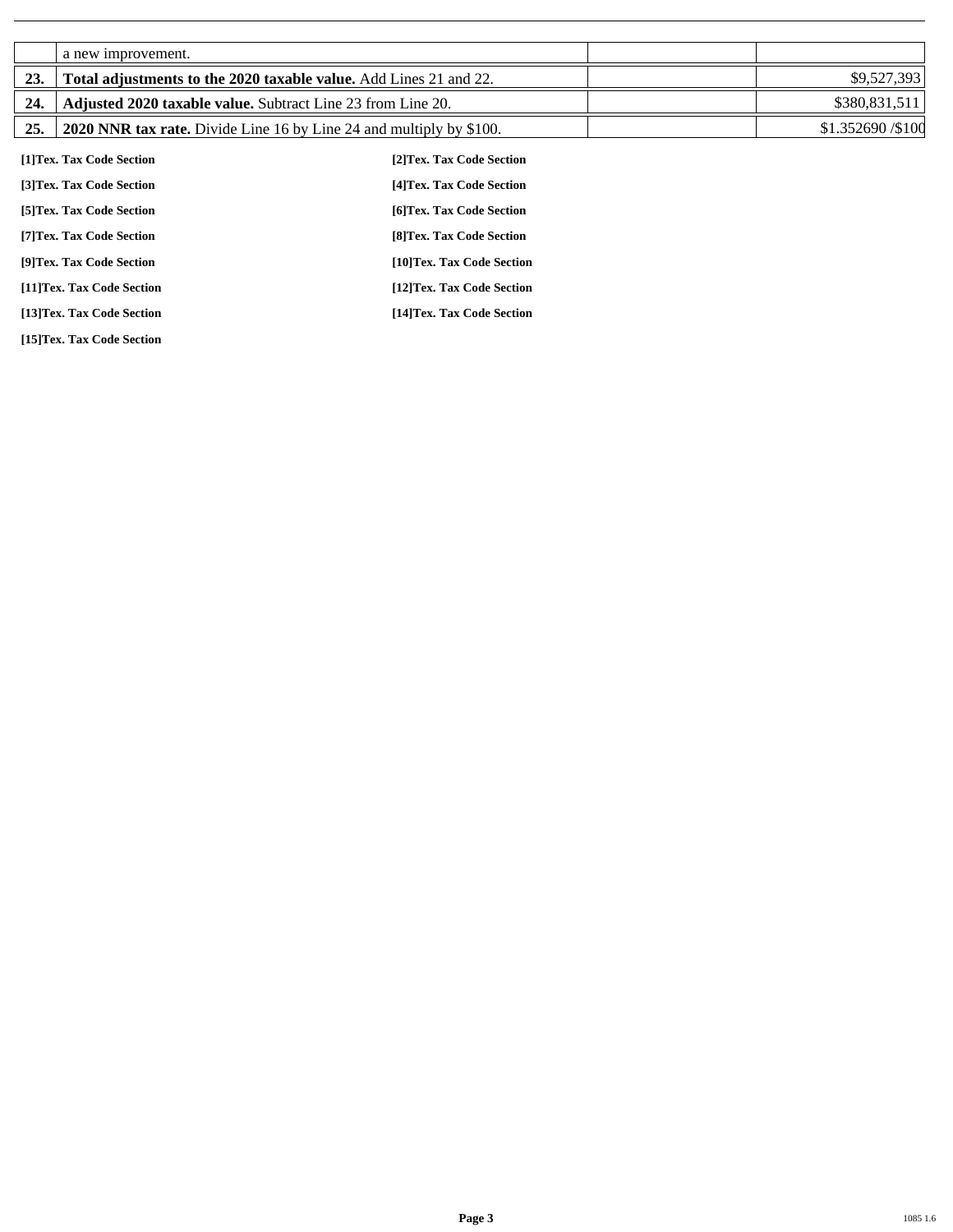|     | a new improvement.                                                 |                                                                            |                    |
|-----|--------------------------------------------------------------------|----------------------------------------------------------------------------|--------------------|
| 23. | Total adjustments to the 2020 taxable value. Add Lines 21 and 22.  |                                                                            | \$9,527,393        |
| 24. | <b>Adjusted 2020 taxable value.</b> Subtract Line 23 from Line 20. |                                                                            | \$380,831,511      |
| 25. |                                                                    | <b>2020 NNR tax rate.</b> Divide Line 16 by Line 24 and multiply by \$100. | \$1.352690 / \$100 |
|     | [1]Tex. Tax Code Section                                           | [2] Tex. Tax Code Section                                                  |                    |
|     | [3]Tex. Tax Code Section                                           | [4] Tex. Tax Code Section                                                  |                    |
|     | [5] Tex. Tax Code Section                                          | [6] Tex. Tax Code Section                                                  |                    |
|     | [7] Tex. Tax Code Section                                          | [8] Tex. Tax Code Section                                                  |                    |
|     | [9]Tex. Tax Code Section                                           | [10]Tex. Tax Code Section                                                  |                    |
|     | [11]Tex. Tax Code Section                                          | [12]Tex. Tax Code Section                                                  |                    |

**[13]Tex. Tax Code Section [14]Tex. Tax Code Section** 

**[15]Tex. Tax Code Section**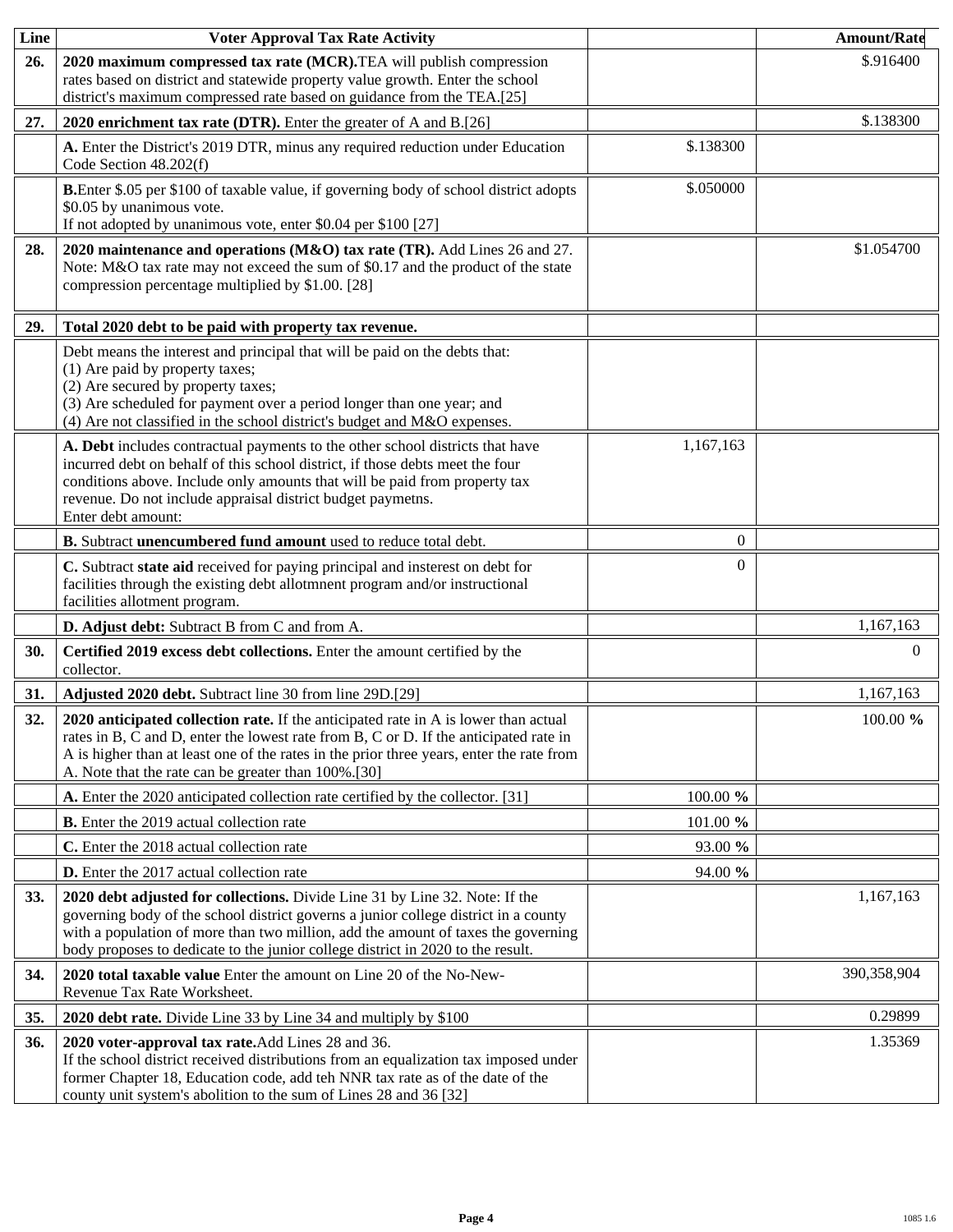| Line | <b>Voter Approval Tax Rate Activity</b>                                                                                                                                                                                                                                                                                                    |           | <b>Amount/Rate</b> |
|------|--------------------------------------------------------------------------------------------------------------------------------------------------------------------------------------------------------------------------------------------------------------------------------------------------------------------------------------------|-----------|--------------------|
| 26.  | 2020 maximum compressed tax rate (MCR).TEA will publish compression<br>rates based on district and statewide property value growth. Enter the school<br>district's maximum compressed rate based on guidance from the TEA.[25]                                                                                                             |           | \$.916400          |
| 27.  | 2020 enrichment tax rate (DTR). Enter the greater of A and B.[26]                                                                                                                                                                                                                                                                          |           | \$.138300          |
|      | A. Enter the District's 2019 DTR, minus any required reduction under Education<br>Code Section 48.202(f)                                                                                                                                                                                                                                   | \$.138300 |                    |
|      | B.Enter \$.05 per \$100 of taxable value, if governing body of school district adopts<br>\$0.05 by unanimous vote.<br>If not adopted by unanimous vote, enter \$0.04 per \$100 [27]                                                                                                                                                        | \$.050000 |                    |
| 28.  | 2020 maintenance and operations (M&O) tax rate (TR). Add Lines 26 and 27.<br>Note: M&O tax rate may not exceed the sum of \$0.17 and the product of the state<br>compression percentage multiplied by \$1.00. [28]                                                                                                                         |           | \$1.054700         |
| 29.  | Total 2020 debt to be paid with property tax revenue.                                                                                                                                                                                                                                                                                      |           |                    |
|      | Debt means the interest and principal that will be paid on the debts that:<br>(1) Are paid by property taxes;<br>(2) Are secured by property taxes;<br>(3) Are scheduled for payment over a period longer than one year; and<br>(4) Are not classified in the school district's budget and M&O expenses.                                   |           |                    |
|      | A. Debt includes contractual payments to the other school districts that have<br>incurred debt on behalf of this school district, if those debts meet the four<br>conditions above. Include only amounts that will be paid from property tax<br>revenue. Do not include appraisal district budget paymetns.<br>Enter debt amount:          | 1,167,163 |                    |
|      | B. Subtract unencumbered fund amount used to reduce total debt.                                                                                                                                                                                                                                                                            | $\theta$  |                    |
|      | C. Subtract state aid received for paying principal and insterest on debt for<br>facilities through the existing debt allotmnent program and/or instructional<br>facilities allotment program.                                                                                                                                             | $\Omega$  |                    |
|      | D. Adjust debt: Subtract B from C and from A.                                                                                                                                                                                                                                                                                              |           | 1,167,163          |
| 30.  | Certified 2019 excess debt collections. Enter the amount certified by the<br>collector.                                                                                                                                                                                                                                                    |           | $\Omega$           |
| 31.  | Adjusted 2020 debt. Subtract line 30 from line 29D.[29]                                                                                                                                                                                                                                                                                    |           | 1,167,163          |
| 32.  | 2020 anticipated collection rate. If the anticipated rate in A is lower than actual<br>rates in B, C and D, enter the lowest rate from B, C or D. If the anticipated rate in<br>A is higher than at least one of the rates in the prior three years, enter the rate from<br>A. Note that the rate can be greater than 100%.[30]            |           | $100.00 \%$        |
|      | A. Enter the 2020 anticipated collection rate certified by the collector. [31]                                                                                                                                                                                                                                                             | 100.00 %  |                    |
|      | <b>B.</b> Enter the 2019 actual collection rate                                                                                                                                                                                                                                                                                            | 101.00 %  |                    |
|      | C. Enter the 2018 actual collection rate                                                                                                                                                                                                                                                                                                   | 93.00 %   |                    |
|      | <b>D.</b> Enter the 2017 actual collection rate                                                                                                                                                                                                                                                                                            | 94.00 %   |                    |
| 33.  | 2020 debt adjusted for collections. Divide Line 31 by Line 32. Note: If the<br>governing body of the school district governs a junior college district in a county<br>with a population of more than two million, add the amount of taxes the governing<br>body proposes to dedicate to the junior college district in 2020 to the result. |           | 1,167,163          |
| 34.  | 2020 total taxable value Enter the amount on Line 20 of the No-New-<br>Revenue Tax Rate Worksheet.                                                                                                                                                                                                                                         |           | 390,358,904        |
| 35.  | 2020 debt rate. Divide Line 33 by Line 34 and multiply by \$100                                                                                                                                                                                                                                                                            |           | 0.29899            |
| 36.  | 2020 voter-approval tax rate. Add Lines 28 and 36.<br>If the school district received distributions from an equalization tax imposed under<br>former Chapter 18, Education code, add teh NNR tax rate as of the date of the<br>county unit system's abolition to the sum of Lines 28 and 36 [32]                                           |           | 1.35369            |